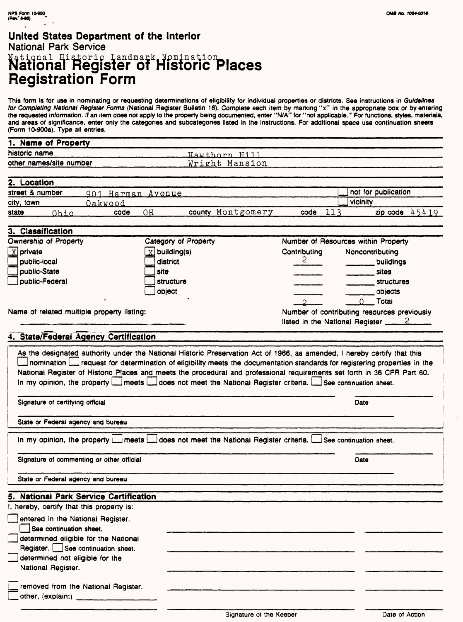### **United States Department of the Interior** National Park Service Manonal Eistoric Landmark. Nomination<br>National Register of Historic Places Registration Form

This form is for use in nominating or requesting determinations of eligibility for individual properties or districts. See instructions in Guidelines for Completing National Register Forms (National Register Bulletin 16). Complete each item by marking "x" in the appropriate box or by entering the requested information, tf an item does not apply to the property being documented, enter "N/A" for "not applicable." For functions, styles, materials, and areas of significance, enter only the categories and subcategories listed in the instructions. For additional space use continuation sheets (Form 10-900a). Type all entries.

| 1. Name of Property     |                |  |
|-------------------------|----------------|--|
| historic name           | Hawthorn Hil   |  |
| other names/site number | Wright Mansion |  |

| 2. Location     |      |                             |    |                   |      |                            |
|-----------------|------|-----------------------------|----|-------------------|------|----------------------------|
| street & number |      | Harman Avenue<br>$Q \cap 1$ |    |                   |      | $\Box$ not for publication |
| city, town      |      | Oakwood                     |    |                   |      | <i>vicinity</i>            |
| state           | つわもへ | code                        | OН | county Montgomery | code | 45410<br>zip code          |

#### **3. Classification** Ownership of Property Category of Property Number of Resources within Property  $\overline{\mathbf{X}}$  private  $\overline{X}$  building(s) **Contributing** Noncontributing 2 public-local district \_\_\_\_ buildings public-State site \_\_\_\_ sites  $\Box$ public-Federal structure structures object \_\_\_\_ objects 0 Total  $\mathcal{L}$ Name of related multiple property listing: Number of contributing resources previously listed in the National Register  $2$

#### **4. State/Federal Agency Certification**

|                                                                           | As the designated authority under the National Historic Preservation Act of 1966, as amended, I hereby certify that this<br>nomination interpretent for determination of eligibility meets the documentation standards for registering properties in the<br>National Register of Historic Places and meets the procedural and professional requirements set forth in 36 CFR Part 60.<br>In my opinion, the property Laneets Laneet not meet the National Register criteria. Lanse continuation sheet. |      |
|---------------------------------------------------------------------------|-------------------------------------------------------------------------------------------------------------------------------------------------------------------------------------------------------------------------------------------------------------------------------------------------------------------------------------------------------------------------------------------------------------------------------------------------------------------------------------------------------|------|
| Signature of certifying official                                          |                                                                                                                                                                                                                                                                                                                                                                                                                                                                                                       | Date |
| State or Federal agency and bureau                                        |                                                                                                                                                                                                                                                                                                                                                                                                                                                                                                       |      |
|                                                                           | In my opinion, the property $\Box$ meets $\Box$ does not meet the National Register criteria. $\Box$ See continuation sheet.                                                                                                                                                                                                                                                                                                                                                                          |      |
| Signature of commenting or other official                                 |                                                                                                                                                                                                                                                                                                                                                                                                                                                                                                       | Date |
| State or Federal agency and bureau                                        |                                                                                                                                                                                                                                                                                                                                                                                                                                                                                                       |      |
| 5. National Park Service Certification                                    |                                                                                                                                                                                                                                                                                                                                                                                                                                                                                                       |      |
| I, hereby, certify that this property is:                                 |                                                                                                                                                                                                                                                                                                                                                                                                                                                                                                       |      |
| entered in the National Register.<br>See continuation sheet.              |                                                                                                                                                                                                                                                                                                                                                                                                                                                                                                       |      |
| determined eligible for the National<br>Register. See continuation sheet. |                                                                                                                                                                                                                                                                                                                                                                                                                                                                                                       |      |
| determined not eligible for the<br>National Register.                     |                                                                                                                                                                                                                                                                                                                                                                                                                                                                                                       |      |
| removed from the National Register.                                       |                                                                                                                                                                                                                                                                                                                                                                                                                                                                                                       |      |
| other, (explain:)                                                         |                                                                                                                                                                                                                                                                                                                                                                                                                                                                                                       |      |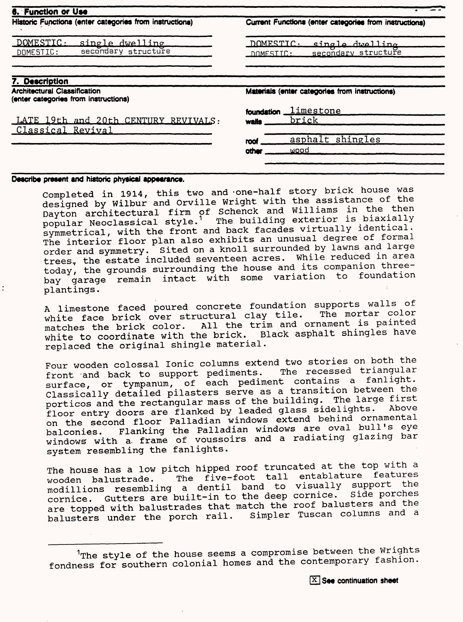| Historic Functions (enter categories from instructions)                     | Current Functions (enter categories from instructions)           |  |  |
|-----------------------------------------------------------------------------|------------------------------------------------------------------|--|--|
| DOMESTIC:<br>single dwelling<br>secondary structure<br>DOMESTIC:            | DOMESTIC.<br>single dwelling<br>secondary structure<br>DOMESITC: |  |  |
| 7. Description                                                              |                                                                  |  |  |
| <b>Architectural Classification</b><br>(enter categories from instructions) | Materials (enter categories from instructions)                   |  |  |
| LATE 19th and 20th CENTURY REVIVALS:<br>Classical Revival                   | limestone<br>foundation<br>brick<br>walle                        |  |  |

#### Describe present and historic physical appearance.

Completed in 1914, this two and -one-half story brick house was designed by Wilbur and Orville Wright with the assistance of the Dayton architectural firm of Schenck and Williams in the then popular Neoclassical style.<sup>1</sup> The building exterior is biaxially symmetrical, with the front and back facades virtually identical. The interior floor plan also exhibits an unusual degree of formal order and symmetry. Sited on a knoll surrounded by lawns and large trees, the estate included seventeen acres. While reduced in area today, the grounds surrounding the house and its companion threebay garage remain intact with some variation plantings.

A limestone faced poured concrete foundation supports walls of white face brick over structural clay tile. The mortar color matches the brick color. All the trim and ornament is painted white to coordinate with the brick. Black asphalt shingles have replaced the original shingle material.

Four wooden colossal Ionic columns extend two stories on both the front and back to support pediments. The recessed triangular surface, or tympanum, of each pediment contains a fanlight. Classically detailed pilasters serve as a transition between the porticos and the rectangular mass of the building. The large first floor entry doors are flanked by leaded glass sidelights. on the second floor Palladian windows extend behind ornamental balconies. Flanking the Palladian windows are oval bull's eye windows with a frame of voussoirs and a radiating glazing bar system resembling the fanlights.

The house has a low pitch hipped roof truncated at the top with a me house has a zemperitem it. wooden balustrade. The five-foot tall entablature features<br>modillions resembling a dentil band to visually support the<br>segming cuttors are built-in to the deep cornice. Side porches cornice. Gutters are built-in to the deep cornice. are topped with balustrades that match the roof balusters and the balusters under the porch rail. Simpler Tuscan columns and a

 $1$ The style of the house seems a compromise between the Wrights fondness for southern colonial homes and the contemporary fashion.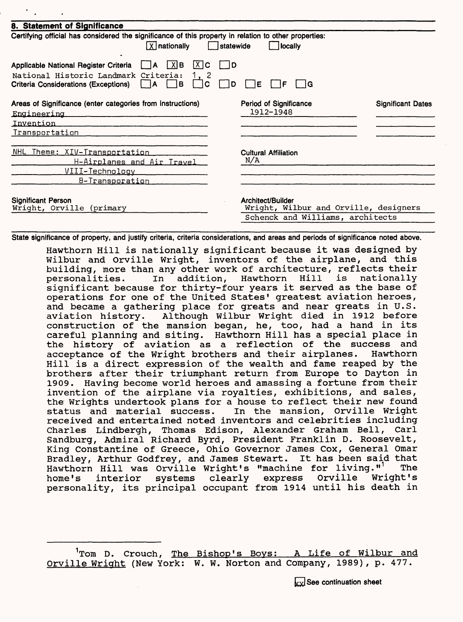| 8. Statement of Significance                                                                                                                                                                         |                                                                                                |                          |
|------------------------------------------------------------------------------------------------------------------------------------------------------------------------------------------------------|------------------------------------------------------------------------------------------------|--------------------------|
| Certifying official has considered the significance of this property in relation to other properties:<br>$\sqrt{X}$ nationally                                                                       | $\vert$ statewide<br><b>locally</b>                                                            |                          |
| $ X $ C<br> X B<br>Applicable National Register Criteria   A<br>National Historic Landmark Criteria:<br>1. 2<br>l B<br><b>Criteria Considerations (Exceptions)</b><br>C<br>$\mathsf{I}$ $\mathsf{I}$ | 1D<br>ID.<br>IE.<br>⊟ IG                                                                       |                          |
| Areas of Significance (enter categories from instructions)<br><u>Engineering</u><br>Invention                                                                                                        | Period of Significance<br>1912-1948                                                            | <b>Significant Dates</b> |
| Transportation                                                                                                                                                                                       |                                                                                                |                          |
| NHL Theme: XIV-Transportation<br><u> H-Airplanes and Air Travel</u><br><u> VIII-Technology</u><br>B-Transporation                                                                                    | <b>Cultural Affiliation</b><br>N/A                                                             |                          |
| <b>Significant Person</b><br>Wright, Orville (primary                                                                                                                                                | Architect/Builder<br>Wright, Wilbur and Orville, designers<br>Schenck and Williams, architects |                          |

State significance of property, and justify criteria, criteria considerations, and areas and periods of significance noted above.

Hawthorn Hill is nationally significant because it was designed by Wilbur and Orville Wright, inventors of the airplane, and this building, more than any other work of architecture, reflects their<br>personalities. In addition, Hawthorn Hill is nationally personalities. In addition, Hawthorn Hill is nationally significant because for thirty-four years it served as the base of operations for one of the United States' greatest aviation heroes, and became a gathering place for greats and near greats in U.S. aviation history. Although Wilbur Wright died in 1912 before construction of the mansion began, he, too, had a hand in its careful planning and siting. Hawthorn Hill has a special place in the history of aviation as a reflection of the success and<br>acceptance of the Wright brothers and their airplanes. Hawthorn acceptance of the Wright brothers and their airplanes. Hill is a direct expression of the wealth and fame reaped by the brothers after their triumphant return from Europe to Dayton in 1909. Having become world heroes and amassing a fortune from their invention of the airplane via royalties, exhibitions, and sales, the Wrights undertook plans for a house to reflect their new found status and material success. In the mansion, Orville Wright received and entertained noted inventors and celebrities including Charles Lindbergh, Thomas Edison, Alexander Graham Bell, Carl Sandburg, Admiral Richard Byrd, President Franklin D. Roosevelt, King Constantine of Greece, Ohio Governor James Cox, General Omar Bradley, Arthur Godfrey, and James Stewart. It has been said that Hawthorn Hill was Orville Wright's "machine for living."<sup>1</sup> The<br>home's interior systems clearly express Orville Wright's home's interior systems clearly express personality, its principal occupant from 1914 until his death in

<sup>&</sup>lt;sup>1</sup>Tom D. Crouch, The Bishop's Boys: A Life of Wilbur and Orville Wright (New York: W. W. Norton and Company, 1989), p. 477.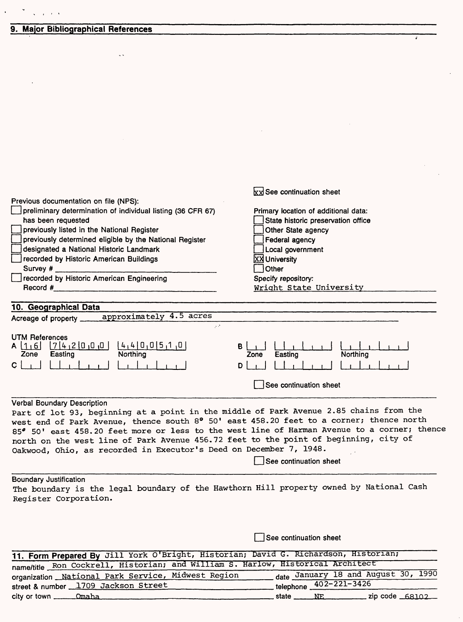#### **9. Major Bibliographical References**

 $\bar{\zeta}$  .

 $\frac{1}{\sqrt{2}}\int_{-\infty}^{\infty} \frac{1}{\sqrt{2}}\left( \frac{1}{\sqrt{2}}\right) \left( \frac{1}{2} \right) \left( \frac{1}{2} \right) \left( \frac{1}{2} \right)$ 

 $\ddot{\phantom{a}}$ 

 $\mathbf{A}^{(1)}$  and

|                                                                                         | xx See continuation sheet                                                                   |
|-----------------------------------------------------------------------------------------|---------------------------------------------------------------------------------------------|
| Previous documentation on file (NPS):                                                   |                                                                                             |
| preliminary determination of individual listing (36 CFR 67)                             | Primary location of additional data:                                                        |
| has been requested                                                                      | State historic preservation office                                                          |
| previously listed in the National Register                                              | Other State agency                                                                          |
| previously determined eligible by the National Register                                 | Federal agency                                                                              |
| designated a National Historic Landmark                                                 | Local government                                                                            |
| recorded by Historic American Buildings                                                 | <b>XX</b> University                                                                        |
| Survey $#_$                                                                             | Other                                                                                       |
| recorded by Historic American Engineering                                               | Specify repository:                                                                         |
| $\mathsf{Record}~#$                                                                     | Wright State University                                                                     |
|                                                                                         |                                                                                             |
| 10. Geographical Data                                                                   |                                                                                             |
| approximately 4.5 acres<br>Acreage of property _____                                    |                                                                                             |
| $\mathcal{P}(\mathcal{P})$                                                              |                                                                                             |
| <b>UTM References</b>                                                                   |                                                                                             |
| A 16 742000 4400510                                                                     | B                                                                                           |
| Northing<br>Zone<br>Easting                                                             | Northing<br>Zone<br>Easting                                                                 |
| $\mathbf{C}$                                                                            | D                                                                                           |
|                                                                                         | See continuation sheet                                                                      |
|                                                                                         |                                                                                             |
| Verbal Boundary Description                                                             |                                                                                             |
| Part of lot 93, beginning at a point in the middle of Park Avenue 2.85 chains from the  |                                                                                             |
| west end of Park Avenue, thence south 8° 50' east 458.20 feet to a corner; thence north |                                                                                             |
|                                                                                         | 85° 50' east 458.20 feet more or less to the west line of Harman Avenue to a corner; thence |
| north on the west line of Park Avenue 456.72 feet to the point of beginning, city of    |                                                                                             |
| Oakwood, Ohio, as recorded in Executor's Deed on December 7, 1948.                      |                                                                                             |
|                                                                                         | See continuation sheet                                                                      |
|                                                                                         |                                                                                             |
| <b>Boundary Justification</b>                                                           |                                                                                             |
| The boundary is the legal boundary of the Hawthorn Hill property owned by National Cash |                                                                                             |
| Register Corporation.                                                                   |                                                                                             |
|                                                                                         |                                                                                             |
|                                                                                         |                                                                                             |
|                                                                                         |                                                                                             |
|                                                                                         | See continuation sheet                                                                      |
| 11. Form Prepared By Jill York O'Bright, Historian; David G. Richardson, Historian;     |                                                                                             |
| name/title Ron Cockrell, Historian; and William S. Harlow, Historical Architect         |                                                                                             |
|                                                                                         | date January 18 and August 30, 1990                                                         |
| organization National Park Service, Midwest Region                                      | telephone 402-221-3426                                                                      |
| street & number 1709 Jackson Street                                                     |                                                                                             |

 $\sim$ 

city or town \_\_\_\_ state JSE zip code ^8102

7

 $\mathcal{L}_{\mathcal{A}}$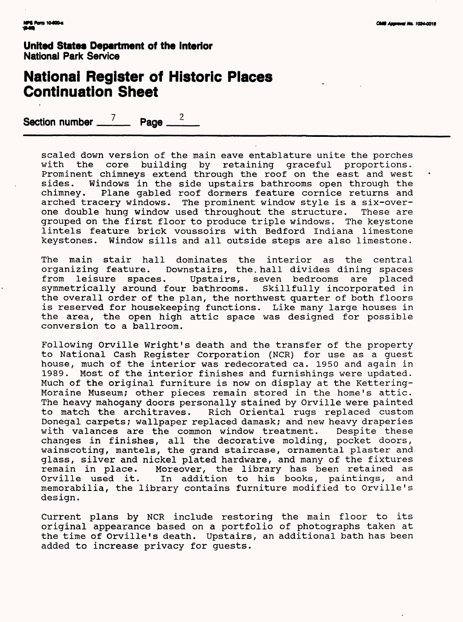### **National Register of Historic Places Continuation Sheet**

**Section number 7 Page 2** 

scaled down version of the main eave entablature unite the porches with the core building by retaining graceful proportions. Prominent chimneys extend through the roof on the east and west<br>sides. Windows in the side upstairs bathrooms open through the Windows in the side upstairs bathrooms open through the chimney. Plane gabled roof dormers feature cornice returns and arched tracery windows. The prominent window style is a six-overone double hung window used throughout the structure. These are grouped on the first floor to produce triple windows. The keystone lintels feature brick voussoirs with Bedford Indiana limestone keystones. Window sills and all outside steps are also limestone.

The main stair hall dominates the interior as the central<br>organizing feature. Downstairs, the hall divides dining spaces zing feature. Downstairs, the. hall divides dining spaces.<br>leisure spaces. Upstairs, seven bedrooms are placed from leisure spaces. Upstairs, seven bedrooms are placed symmetrically around four bathrooms. Skillfully incorporated in the overall order of the plan, the northwest quarter of both floors is reserved for housekeeping functions. Like many large houses in the area, the open high attic space was designed for possible conversion to a ballroom.

Following Orville Wright's death and the transfer of the property to National Cash Register Corporation (NCR) for use as a guest house, much of the interior was redecorated ca. 1950 and again in 1989. Most of the interior finishes and furnishings were updated. Much of the original furniture is now on display at the Kettering-Moraine Museum; other pieces remain stored in the home's attic. The heavy mahogany doors personally stained by Orville were painted to match the architraves. Rich Oriental rugs replaced custom Donegal carpets; wallpaper replaced damask; and new heavy draperies with valances are the common window treatment. Despite these changes in finishes, all the decorative molding, pocket doors, wainscoting, mantels, the grand staircase, ornamental plaster and glass, silver and nickel plated hardware, and many of the fixtures remain in place. Moreover, the library has been retained as Orville used it. In addition to his books, paintings, and memorabilia, the library contains furniture modified to Orville's design.

Current plans by NCR include restoring the main floor to its original appearance based on a portfolio of photographs taken at the time of Orville's death. Upstairs, an additional bath has been added to increase privacy for guests.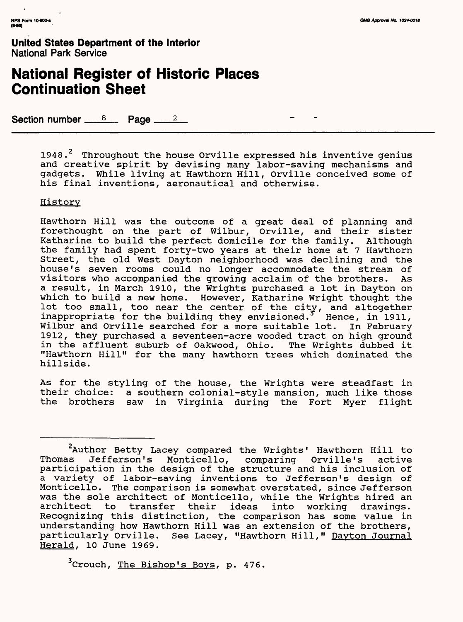# **National Register of Historic Places Continuation Sheet**

Section number  $8 \times 12$ 

1948.<sup>2</sup> Throughout the house Orville expressed his inventive genius and creative spirit by devising many labor-saving mechanisms and gadgets. While living at Hawthorn Hill, Orville conceived some of his final inventions, aeronautical and otherwise.

#### **History**

Hawthorn Hill was the outcome of a great deal of planning and forethought on the part of Wilbur, Orville, and their sister Katharine to build the perfect domicile for the family. Although the family had spent forty-two years at their home at 7 Hawthorn Street, the old West Dayton neighborhood was declining and the house's seven rooms could no longer accommodate the stream of visitors who accompanied the growing acclaim of the brothers. As a result, in March 1910, the Wrights purchased a lot in Dayton on which to build a new home. However, Katharine Wright thought the lot too small, too near the center of the city, and altogether inappropriate for the building they envisioned.<sup>5</sup> Hence, in 1911, Wilbur and Orville searched for a more suitable lot. In February 1912, they purchased a seventeen-acre wooded tract on high ground in the affluent suburb of Oakwood, Ohio. The Wrights dubbed it "Hawthorn Hill" for the many hawthorn trees which dominated the hillside.

As for the styling of the house, the Wrights were steadfast in their choice: a southern colonial-style mansion, much like those the brothers saw in Virginia during the Fort Myer flight

<sup>3</sup> Crouch, The Bishop's Boys, p. 476.

<sup>&</sup>lt;sup>2</sup>Author Betty Lacey compared the Wrights' Hawthorn Hill to Thomas Jefferson's Monticello, comparing Orville's active participation in the design of the structure and his inclusion of a variety of labor-saving inventions to Jefferson's design of Monticello. The comparison is somewhat overstated, since Jefferson was the sole architect of Monticello, while the Wrights hired an architect to transfer their ideas into working drawings. Recognizing this distinction, the comparison has some value in understanding how Hawthorn Hill was an extension of the brothers, particularly Orville. See Lacey, "Hawthorn Hill," Dayton Journal Herald, 10 June 1969.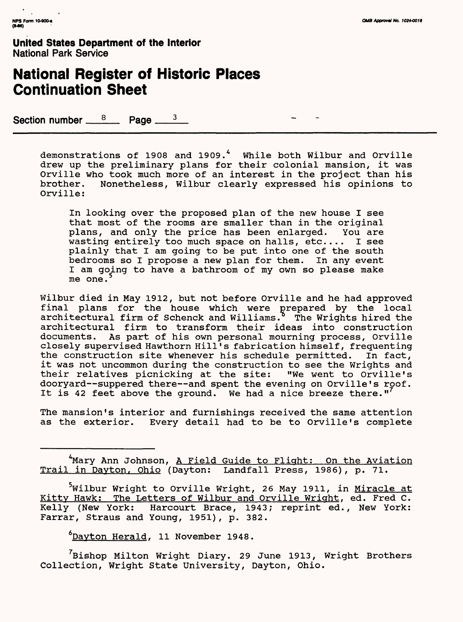### **National Register of Historic Places Continuation Sheet**

Section number  $8 \times 10^8$  Page  $3 \times 3$ 

demonstrations of 1908 and 1909.<sup>4</sup> While both Wilbur and Orville drew up the preliminary plans for their colonial mansion, it was Orville who took much more of an interest in the project than his<br>brother. Nonetheless, Wilbur clearly expressed his opinions to Nonetheless, Wilbur clearly expressed his opinions to Orville:

In looking over the proposed plan of the new house I see that most of the rooms are smaller than in the original plans, and only the price has been enlarged. You are wasting entirely too much space on halls, etc.... I see plainly that I am going to be put into one of the south bedrooms so I propose a new plan for them. In any event I am going to have a bathroom of my own so please make  $me$  one.

Wilbur died in May 1912, but not before Orville and he had approved final plans for the house which were prepared by the local architectural firm of Schenck and Williams. $\delta$  The Wrights hired the architectural firm to transform their ideas into construction documents. As part of his own personal mourning process, Orville closely supervised Hawthorn Hill's fabrication himself, frequenting the construction site whenever his schedule permitted. In fact, it was not uncommon during the construction to see the Wrights and their relatives picnicking at the site: "We went to Orville's dooryard—suppered there—and spent the evening on Orville's roof. It is 42 feet above the ground. We had a nice breeze there." $'$ 

The mansion's interior and furnishings received the same attention as the exterior. Every detail had to be to Orville's complete

6Davton Herald, 11 November 1948.

'Bishop Milton Wright Diary. 29 June 1913, Wright Brothers Collection, Wright State University, Dayton, Ohio.

<sup>4</sup>Mary Ann Johnson, A Field Guide to Flight: On the Aviation Trail in Davton, Ohio (Dayton: Landfall Press, 1986), p. 71.

Wilbur Wright to Orville Wright, 26 May 1911, in Miracle at Kitty Hawk: The Letters of Wilbur and Orville Wright, ed. Fred C. Kelly (New York: Harcourt Brace, 1943; reprint ed., New York: Farrar, Straus and Young, 1951), p. 382.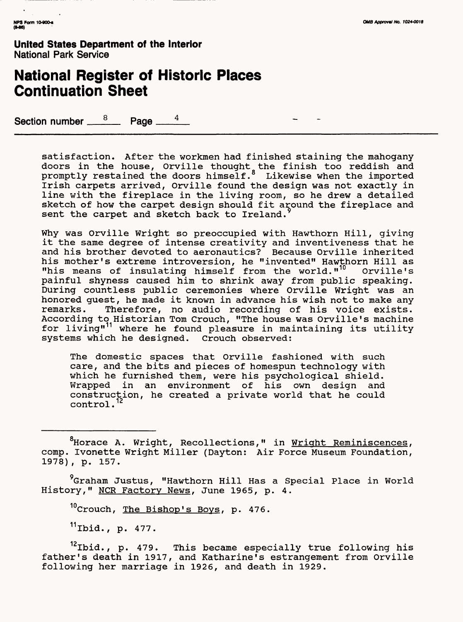#### **National Register of Historic Places Continuation Sheet**

Section number  $\frac{8}{2}$  Page  $\frac{1}{2}$ 

satisfaction. After the workmen had finished staining the mahogany doors in the house, Orville thought<sub>s</sub>the finish too reddish and promptly restained the doors himself. $^{\circ}$  Likewise when the imported Irish carpets arrived, Orville found the design was not exactly in line with the fireplace in the living room, so he drew a detailed sketch of how the carpet design should fit around the fireplace and sent the carpet and sketch back to Ireland.

Why was Orville Wright so preoccupied with Hawthorn Hill, giving it the same degree of intense creativity and inventiveness that he and his brother devoted to aeronautics? Because Orville inherited his mother's extreme introversion, he "invented" Hawthorn Hill as<br>"his means of insulating himself from the world."<sup>10</sup> Orville's "his means of insulating himself from the world."<sup>10</sup> painful shyness caused him to shrink away from public speaking. During countless public ceremonies where Orville Wright was an honored guest, he made it known in advance his wish not to make any remarks. Therefore, no audio recording of his voice exists. According to Historian Tom Crouch, "The house was Orville's machine for living"<sup>11</sup> where he found pleasure in maintaining its utility systems which he designed. Crouch observed:

The domestic spaces that Orville fashioned with such care, and the bits and pieces of homespun technology with which he furnished them, were his psychological shield. Wrapped in an environment of his own design and construction, he created a private world that he could control.

<sup>8</sup>Horace A. Wright, Recollections," in Wright Reminiscences, comp. Ivonette Wright Miller (Dayton: Air Force Museum Foundation, 1978), p. 157.

9Graham Justus, "Hawthorn Hill Has a Special Place in World History," NCR Factory News, June 1965, p. 4.

<sup>10</sup>Crouch, The Bishop's Boys, p. 476.

 $11$ Ibid., p. 477.

 $12$ Ibid., p. 479. This became especially true following his father's death in 1917, and Katharine's estrangement from Orville following her marriage in 1926, and death in 1929.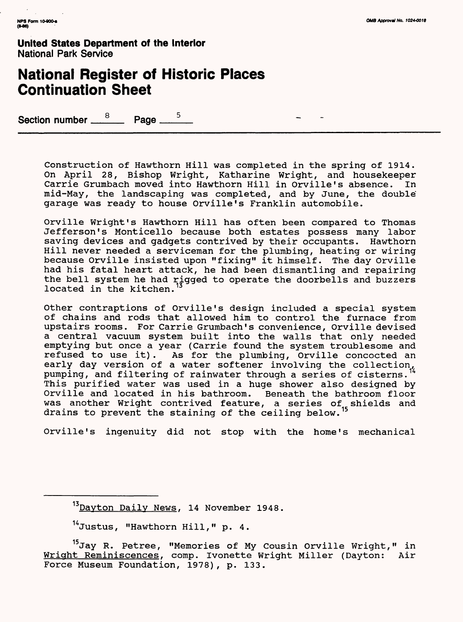### **National Register of Historic Places Continuation Sheet**

Section number  $\frac{8}{2}$  Page  $\frac{5}{2}$ 

Construction of Hawthorn Hill was completed in the spring of 1914. On April 28, Bishop Wright, Katharine Wright, and housekeeper Carrie Grumbach moved into Hawthorn Hill in Orville's absence. In mid-May, the landscaping was completed, and by June, the double garage was ready to house Orville's Franklin automobile.

Orville Wright's Hawthorn Hill has often been compared to Thomas Jefferson's Monticello because both estates possess many labor saving devices and gadgets contrived by their occupants. Hawthorn Hill never needed a serviceman for the plumbing, heating or wiring because Orville insisted upon "fixing" it himself. The day Orville had his fatal heart attack, he had been dismantling and repairing the bell system he had rigged to operate the doorbells and buzzers located in the kitchen.

Other contraptions of Orville's design included a special system of chains and rods that allowed him to control the furnace from upstairs rooms. For Carrie Grumbach's convenience, Orville devised a central vacuum system built into the walls that only needed emptying but once a year (Carrie found the system troublesome and refused to use it). As for the plumbing, Orville concocted an early day version of a water softener involving the collection, pumping, and filtering of rainwater through a series of cisterns. This purified water was used in a huge shower also designed by Orville and located in his bathroom. Beneath the bathroom floor was another Wright contrived feature, a series of shields and drains to prevent the staining of the ceiling below.

Orville's ingenuity did not stop with the home's mechanical

<sup>&</sup>lt;sup>13</sup> Dayton Daily News, 14 November 1948.

<sup>14</sup>Justus, "Hawthorn Hill," p. 4.

<sup>&</sup>lt;sup>13</sup>Jay R. Petree, "Memories of My Cousin Orville Wright," in Wriqht Reminiscences, comp. Ivonette Wright Miller (Dayton: Air Force Museum Foundation, 1978), p. 133.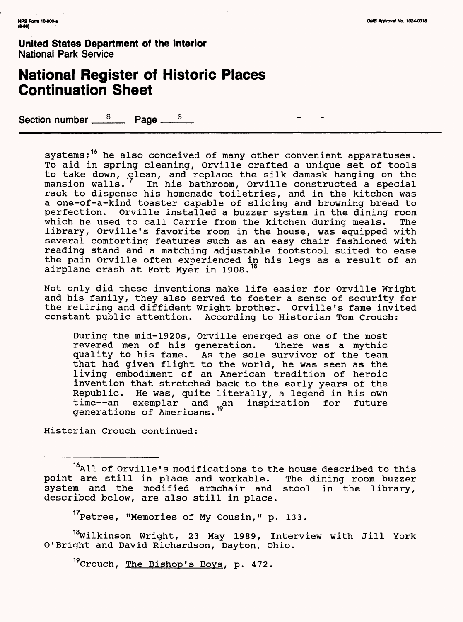#### **National Register of Historic Places Continuation Sheet**

Section number  $8 \text{ Page}$   $\frac{6}{5}$ 

systems;<sup>16</sup> he also conceived of many other convenient apparatuses. To aid in spring cleaning, Orville crafted a unique set of tools to take down, <sub>S</sub>lean, and replace the silk damask hanging on the mansion walls." In his bathroom, Orville constructed a special rack to dispense his homemade toiletries, and in the kitchen was a one-of-a-kind toaster capable of slicing and browning bread to perfection. Orville installed a buzzer system in the dining room which he used to call Carrie from the kitchen during meals. The library, Orville's favorite room in the house, was equipped with several comforting features such as an easy chair fashioned with reading stand and a matching adjustable footstool suited to ease the pain Orville often experienced in his legs as a result of an airplane crash at Fort Myer in 1908.<sup>18</sup>

Not only did these inventions make life easier for Orville Wright and his family, they also served to foster a sense of security for the retiring and diffident Wright brother. Orville's fame invited constant public attention. According to Historian Tom Crouch:

During the mid-1920s, Orville emerged as one of the most revered men of his generation. There was a mythic quality to his fame. As the sole survivor of the team that had given flight to the world, he was seen as the living embodiment of an American tradition of heroic invention that stretched back to the early years of the Republic. He was, quite literally, a legend in his own<br>time--an exemplar and an inspiration for future time--an exemplar and an inspiration for future generations of Americans. "

Historian Crouch continued:

<sup>17</sup>Petree, "Memories of My Cousin," p. 133.

<sup>18</sup>Wilkinson Wright, 23 May 1989, Interview with Jill York O'Bright and David Richardson, Dayton, Ohio.

<sup>19</sup>Crouch, The Bishop's Boys, p. 472.

<sup>&</sup>lt;sup>16</sup>All of Orville's modifications to the house described to this point are still in place and workable. The dining room buzzer system and the modified armchair and stool in the library, described below, are also still in place.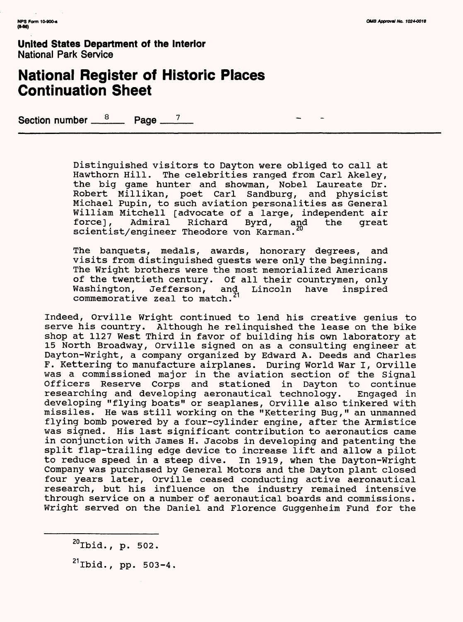### **National Register of Historic Places Continuation Sheet**

Section number  $\frac{8}{2}$  Page  $\frac{7}{2}$ 

Distinguished visitors to Dayton were obliged to call at Hawthorn Hill. The celebrities ranged from Carl Akeley, the big game hunter and showman, Nobel Laureate Dr. Robert Millikan, poet Carl Sandburg, and physicist Michael Pupin, to such aviation personalities as General William Mitchell [advocate of a large, independent air<br>force], Admiral Richard Byrd, and the great Richard Byrd, and the great scientist/engineer Theodore von Karman.

The banquets, medals, awards, honorary degrees, and visits from distinguished guests were only the beginning. The Wright brothers were the most memorialized Americans of the twentieth century. Of all their countrymen, only<br>Washington, Jefferson, and Lincoln have inspired Washington, Jefferson, and Lincoln have inspired commemorative zeal to match.  $1$ 

Indeed, Orville Wright continued to lend his creative genius to serve his country. Although he relinquished the lease on the bike shop at 1127 West Third in favor of building his own laboratory at 15 North Broadway, Orville signed on as a consulting engineer at Dayton-Wright, a company organized by Edward A. Deeds and Charles F. Kettering to manufacture airplanes. During World War I, Orville was a commissioned major in the aviation section of the Signal Officers Reserve Corps and stationed in Dayton to continue researching and developing aeronautical technology. Engaged in developing "flying boats" or seaplanes, Orville also tinkered with missiles. He was still working on the "Kettering Bug," an unmanned flying bomb powered by a four-cylinder engine, after the Armistice was signed. His last significant contribution to aeronautics came in conjunction with James H. Jacobs in developing and patenting the split flap-trailing edge device to increase lift and allow a pilot to reduce speed in a steep dive. In 1919, when the Dayton-Wright Company was purchased by General Motors and the Dayton plant closed four years later, Orville ceased conducting active aeronautical research, but his influence on the industry remained intensive through service on a number of aeronautical boards and commissions. Wright served on the Daniel and Florence Guggenheim Fund for the

<sup>20</sup>Ibid., p. 502.

 $^{21}$ Ibid., pp. 503-4.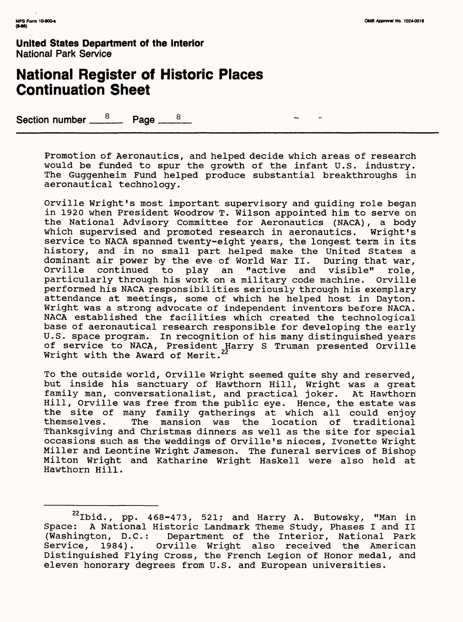### **National Register of Historic Places Continuation Sheet**

Section number  $\frac{8}{2}$  Page  $\frac{8}{2}$ 

Promotion of Aeronautics, and helped decide which areas of research would be funded to spur the growth of the infant U.S. industry. The Guggenheim Fund helped produce substantial breakthroughs in aeronautical technology.

Orville Wright's most important supervisory and guiding role began in 1920 when President Woodrow T. Wilson appointed him to serve on the National Advisory Committee for Aeronautics (NACA), a body which supervised and promoted research in aeronautics. Wright's service to NACA spanned twenty-eight years, the longest term in its history, and in no small part helped make the United States a dominant air power by the eve of World War II. During that war, dominant air power by the eve of World War II.<br>Orville continued to play an "active and Orville continued to play an "active and visible" role, particularly through his work on a military code machine. Orville performed his NACA responsibilities seriously through his exemplary attendance at meetings, some of which he helped host in Dayton. Wright was a strong advocate of independent inventors before NACA. NACA established the facilities which created the technological base of aeronautical research responsible for developing the early U.S. space program. In recognition of his many distinguished years of service to NACA, President Harry S Truman presented Orville Wright with the Award of Merit.

To the outside world, Orville Wright seemed quite shy and reserved, but inside his sanctuary of Hawthorn Hill, Wright was a great family man, conversationalist, and practical joker. At Hawthorn Hill, Orville was free from the public eye. Hence, the estate was the site of many family gatherings at which all could enjoy The mansion was the location of traditional Thanksgiving and Christmas dinners as well as the site for special occasions such as the weddings of Orville's nieces, Ivonette Wright Miller and Leontine Wright Jameson. The funeral services of Bishop Milton Wright and Katharine Wright Haskell were also held at Hawthorn Hill.

 $22$ Ibid., pp. 468-473, 521; and Harry A. Butowsky, "Man in Space: A National Historic Landmark Theme Study, Phases I and II (Washington, D.C.: Department of the Interior, National Park Service, 1984). Orville Wright also received the American Distinguished Flying Cross, the French Legion of Honor medal, and eleven honorary degrees from U.S. and European universities.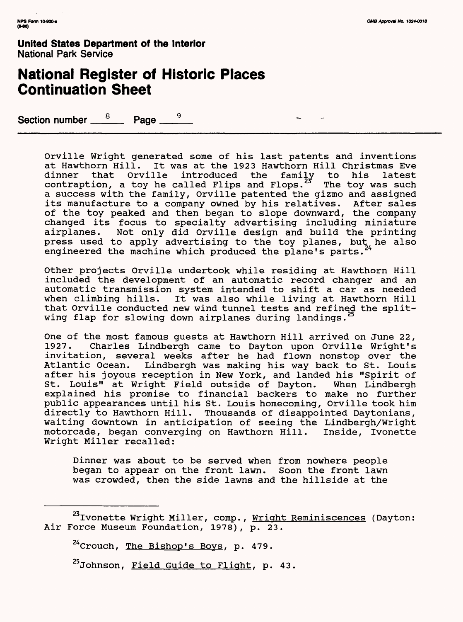### **National Register of Historic Places Continuation Sheet**

Section number  $\frac{8}{2}$  Page  $\frac{1}{2}$ 

Orville Wright generated some of his last patents and inventions at Hawthorn Hill. It was at the 1923 Hawthorn Hill Christmas Eve dinner that Orville introduced the family to his latest contraption, a toy he called Flips and Flops.<sup>23</sup> The toy was such a success with the family, Orville patented the gizmo and assigned its manufacture to a company owned by his relatives. After sales of the toy peaked and then began to slope downward, the company changed its focus to specialty advertising including miniature airplanes. Not only did Orville design and build the printing press used to apply advertising to the toy planes, but he also engineered the machine which produced the plane's parts.

Other projects Orville undertook while residing at Hawthorn Hill included the development of an automatic record changer and an automatic transmission system intended to shift a car as needed when climbing hills. It was also while living at Hawthorn Hill that Orville conducted new wind tunnel tests and refined the splitwing flap for slowing down airplanes during landings.

One of the most famous guests at Hawthorn Hill arrived on June 22, 1927. Charles Lindbergh came to Dayton upon Orville Wright's invitation, several weeks after he had flown nonstop over the Atlantic Ocean. Lindbergh was making his way back to St. Louis after his joyous reception in New York, and landed his "Spirit of St. Louis" at Wright Field outside of Dayton. When Lindbergh explained his promise to financial backers to make no further public appearances until his St. Louis homecoming, Orville took him directly to Hawthorn Hill. Thousands of disappointed Daytonians, waiting downtown in anticipation of seeing the Lindbergh/Wright motorcade, began converging on Hawthorn Hill. Inside, Ivonette Wright Miller recalled:

Dinner was about to be served when from nowhere people began to appear on the front lawn. Soon the front lawn was crowded, then the side lawns and the hillside at the

<sup>24</sup> Crouch, The Bishop's Boys, p. 479.

<sup>25</sup>Johnson, Field Guide to Flight, p. 43.

<sup>&</sup>lt;sup>23</sup> Ivonette Wright Miller, comp., Wright Reminiscences (Dayton: Air Force Museum Foundation, 1978), p. 23.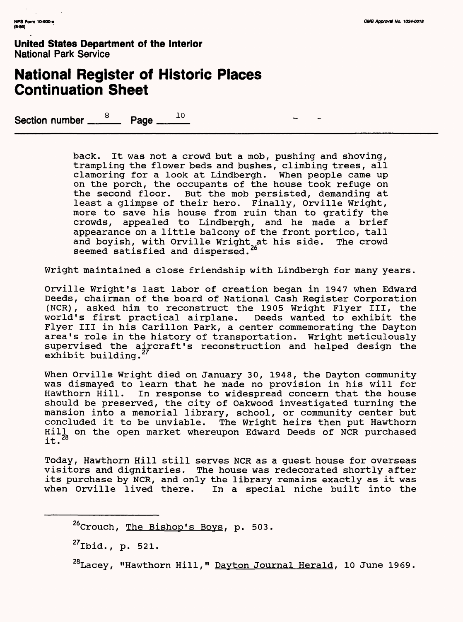## **National Register of Historic Places Continuation Sheet**

Section number  $\frac{8}{2}$  Page  $\frac{10}{2}$ 

back. It was not a crowd but a mob, pushing and shoving, trampling the flower beds and bushes, climbing trees, all clamoring for a look at Lindbergh. When people came up on the porch, the occupants of the house took refuge on the second floor. But the mob persisted, demanding at least a glimpse of their hero. Finally, Orville Wright, more to save his house from ruin than to gratify the crowds, appealed to Lindbergh, and he made a brief appearance on a little balcony of the front portico, tall and boyish, with Orville Wright at his side. The crowd seemed satisfied and dispersed.<sup>26</sup>

Wright maintained a close friendship with Lindbergh for many years.

Orville Wright's last labor of creation began in 1947 when Edward Deeds, chairman of the board of National Cash Register Corporation (NCR), asked him to reconstruct the 1905 Wright Flyer III, the world's first practical airplane. Deeds wanted to exhibit the Flyer III in his Carillon Park, a center commemorating the Dayton area's role in the history of transportation. Wright meticulously supervised the aircraft's reconstruction and helped design the exhibit building.

When Orville Wright died on January 30, 1948, the Dayton community was dismayed to learn that he made no provision in his will for Hawthorn Hill. In response to widespread concern that the house should be preserved, the city of Oakwood investigated turning the mansion into a memorial library, school, or community center but concluded it to be unviable. The Wright heirs then put Hawthorn Hill on the open market whereupon Edward Deeds of NCR purchased it.<sup>28</sup>

Today, Hawthorn Hill still serves NCR as a guest house for overseas visitors and dignitaries. The house was redecorated shortly after its purchase by NCR, and only the library remains exactly as it was when Orville lived there. In a special niche built into the

 $^{26}$ Crouch, The Bishop's Boys, p. 503.

27Ibid., p. 521.

<sup>28</sup>Lacey, "Hawthorn Hill," Dayton Journal Herald, 10 June 1969.